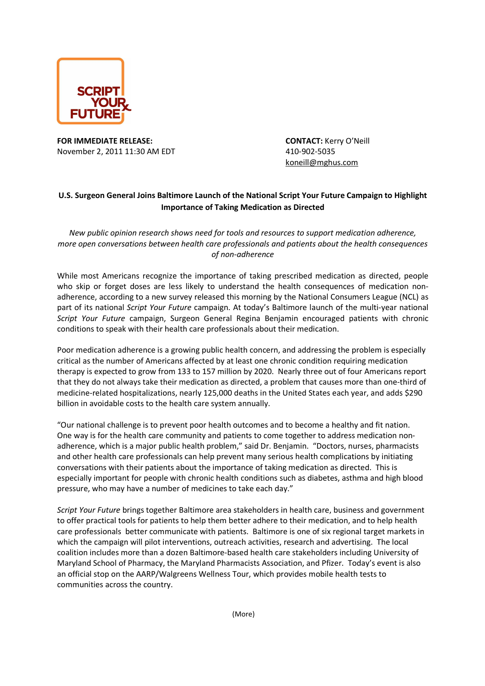

**FOR IMMEDIATE RELEASE: CONTACT:** Kerry O'Neill November 2, 2011 11:30 AM EDT 410-902-5035

koneill@mghus.com

## **U.S. Surgeon General Joins Baltimore Launch of the National Script Your Future Campaign to Highlight Importance of Taking Medication as Directed**

*New public opinion research shows need for tools and resources to support medication adherence, more open conversations between health care professionals and patients about the health consequences of non-adherence* 

While most Americans recognize the importance of taking prescribed medication as directed, people who skip or forget doses are less likely to understand the health consequences of medication nonadherence, according to a new survey released this morning by the National Consumers League (NCL) as part of its national *Script Your Future* campaign. At today's Baltimore launch of the multi-year national *Script Your Future* campaign, Surgeon General Regina Benjamin encouraged patients with chronic conditions to speak with their health care professionals about their medication.

Poor medication adherence is a growing public health concern, and addressing the problem is especially critical as the number of Americans affected by at least one chronic condition requiring medication therapy is expected to grow from 133 to 157 million by 2020. Nearly three out of four Americans report that they do not always take their medication as directed, a problem that causes more than one-third of medicine-related hospitalizations, nearly 125,000 deaths in the United States each year, and adds \$290 billion in avoidable costs to the health care system annually.

"Our national challenge is to prevent poor health outcomes and to become a healthy and fit nation. One way is for the health care community and patients to come together to address medication nonadherence, which is a major public health problem," said Dr. Benjamin. "Doctors, nurses, pharmacists and other health care professionals can help prevent many serious health complications by initiating conversations with their patients about the importance of taking medication as directed. This is especially important for people with chronic health conditions such as diabetes, asthma and high blood pressure, who may have a number of medicines to take each day."

*Script Your Future* brings together Baltimore area stakeholders in health care, business and government to offer practical tools for patients to help them better adhere to their medication, and to help health care professionals better communicate with patients. Baltimore is one of six regional target markets in which the campaign will pilot interventions, outreach activities, research and advertising. The local coalition includes more than a dozen Baltimore-based health care stakeholders including University of Maryland School of Pharmacy, the Maryland Pharmacists Association, and Pfizer. Today's event is also an official stop on the AARP/Walgreens Wellness Tour, which provides mobile health tests to communities across the country.